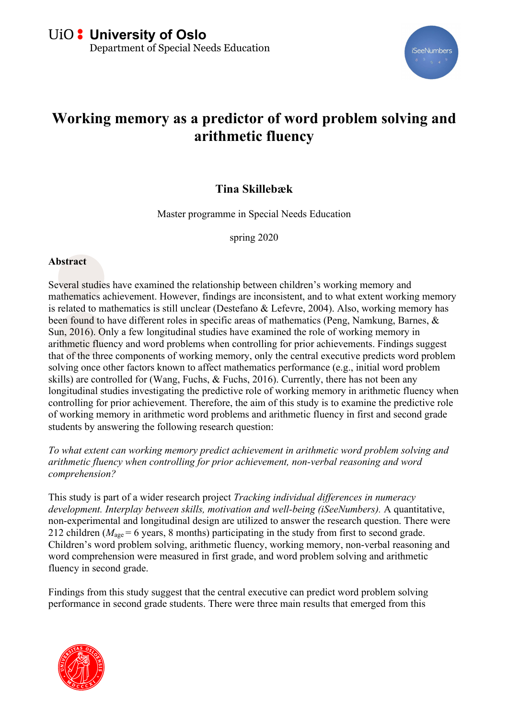

## **Working memory as a predictor of word problem solving and arithmetic fluency**

## **Tina Skillebæk**

Master programme in Special Needs Education

spring 2020

## **Abstract**

Several studies have examined the relationship between children's working memory and mathematics achievement. However, findings are inconsistent, and to what extent working memory is related to mathematics is still unclear (Destefano & Lefevre, 2004). Also, working memory has been found to have different roles in specific areas of mathematics (Peng, Namkung, Barnes, & Sun, 2016). Only a few longitudinal studies have examined the role of working memory in arithmetic fluency and word problems when controlling for prior achievements. Findings suggest that of the three components of working memory, only the central executive predicts word problem solving once other factors known to affect mathematics performance (e.g., initial word problem skills) are controlled for (Wang, Fuchs, & Fuchs, 2016). Currently, there has not been any longitudinal studies investigating the predictive role of working memory in arithmetic fluency when controlling for prior achievement. Therefore, the aim of this study is to examine the predictive role of working memory in arithmetic word problems and arithmetic fluency in first and second grade students by answering the following research question:

*To what extent can working memory predict achievement in arithmetic word problem solving and arithmetic fluency when controlling for prior achievement, non-verbal reasoning and word comprehension?* 

This study is part of a wider research project *Tracking individual differences in numeracy development. Interplay between skills, motivation and well-being (iSeeNumbers).* A quantitative, non-experimental and longitudinal design are utilized to answer the research question. There were 212 children ( $M_{\text{age}} = 6$  years, 8 months) participating in the study from first to second grade. Children's word problem solving, arithmetic fluency, working memory, non-verbal reasoning and word comprehension were measured in first grade, and word problem solving and arithmetic fluency in second grade.

Findings from this study suggest that the central executive can predict word problem solving performance in second grade students. There were three main results that emerged from this